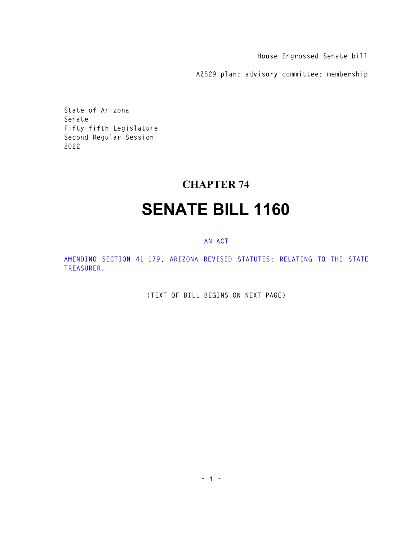**House Engrossed Senate bill** 

**AZ529 plan; advisory committee; membership** 

**State of Arizona Senate Fifty-fifth Legislature Second Regular Session 2022** 

## **CHAPTER 74**

## **SENATE BILL 1160**

## **AN ACT**

**AMENDING SECTION 41-179, ARIZONA REVISED STATUTES; RELATING TO THE STATE TREASURER.** 

**(TEXT OF BILL BEGINS ON NEXT PAGE)**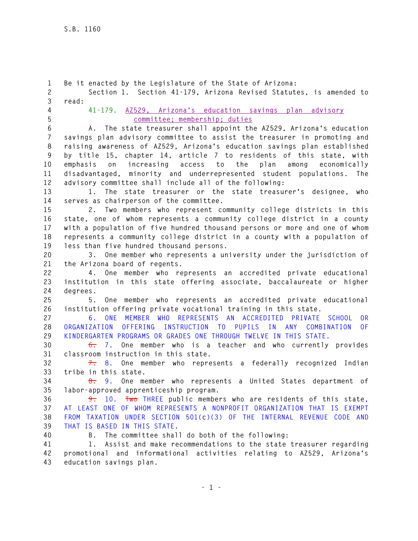**1 Be it enacted by the Legislature of the State of Arizona: 2 Section 1. Section 41-179, Arizona Revised Statutes, is amended to 3 read: 4 41-179. AZ529, Arizona's education savings plan advisory 5 committee; membership; duties 6 A. The state treasurer shall appoint the AZ529, Arizona's education 7 savings plan advisory committee to assist the treasurer in promoting and 8 raising awareness of AZ529, Arizona's education savings plan established 9 by title 15, chapter 14, article 7 to residents of this state, with 10 emphasis on increasing access to the plan among economically 11 disadvantaged, minority and underrepresented student populations. The 12 advisory committee shall include all of the following: 13 1. The state treasurer or the state treasurer's designee, who 14 serves as chairperson of the committee. 15 2. Two members who represent community college districts in this 16 state, one of whom represents a community college district in a county 17 with a population of five hundred thousand persons or more and one of whom 18 represents a community college district in a county with a population of 19 less than five hundred thousand persons. 20 3. One member who represents a university under the jurisdiction of 21 the Arizona board of regents. 22 4. One member who represents an accredited private educational 23 institution in this state offering associate, baccalaureate or higher 24 degrees. 25 5. One member who represents an accredited private educational 26 institution offering private vocational training in this state. 27 6. ONE MEMBER WHO REPRESENTS AN ACCREDITED PRIVATE SCHOOL OR 28 ORGANIZATION OFFERING INSTRUCTION TO PUPILS IN ANY COMBINATION OF 29 KINDERGARTEN PROGRAMS OR GRADES ONE THROUGH TWELVE IN THIS STATE. 30 6. 7. One member who is a teacher and who currently provides 31 classroom instruction in this state. 32 7. 8. One member who represents a federally recognized Indian 33 tribe in this state. 34 8. 9. One member who represents a United States department of 35 labor-approved apprenticeship program. 36 9. 10. Two THREE public members who are residents of this state, 37 AT LEAST ONE OF WHOM REPRESENTS A NONPROFIT ORGANIZATION THAT IS EXEMPT 38 FROM TAXATION UNDER SECTION 501(c)(3) OF THE INTERNAL REVENUE CODE AND 39 THAT IS BASED IN THIS STATE. 40 B. The committee shall do both of the following: 41 1. Assist and make recommendations to the state treasurer regarding 42 promotional and informational activities relating to AZ529, Arizona's 43 education savings plan.**